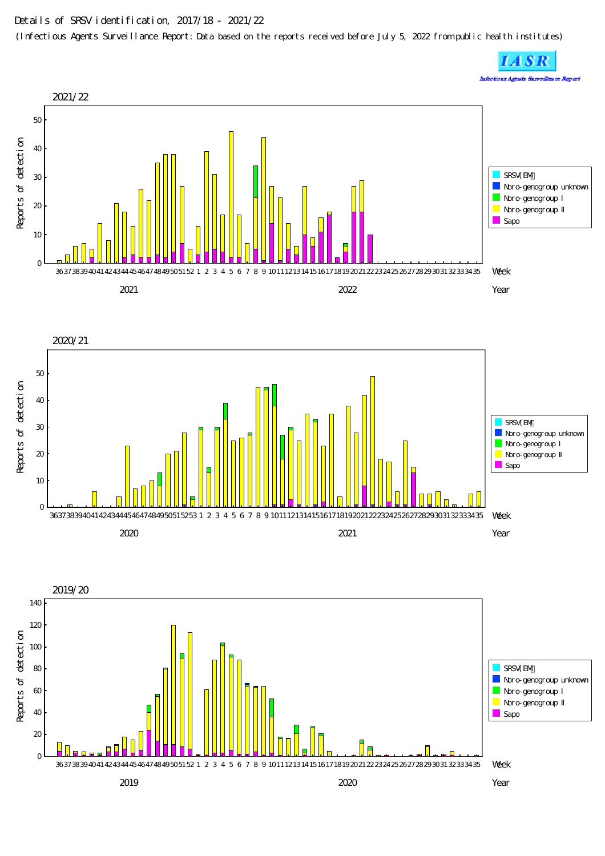## Details of SRSV identification, 2017/18 - 2021/22

(Infectious Agents Surveillance Report: Data based on the reports received before July 5, 2022 from public health institutes)